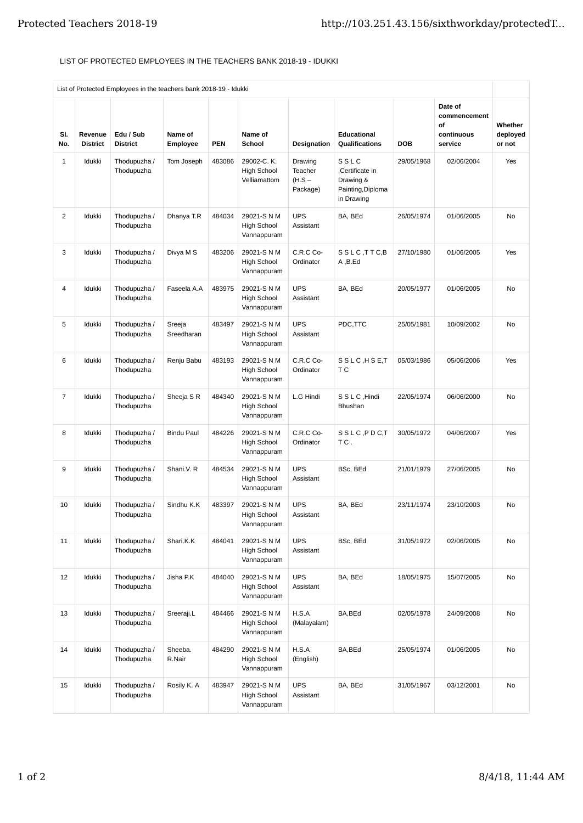## LIST OF PROTECTED EMPLOYEES IN THE TEACHERS BANK 2018-19 - IDUKKI

|                | List of Protected Employees in the teachers bank 2018-19 - Idukki |                              |                      |            |                                                  |                                            |                                                                        |            |                                                        |                               |
|----------------|-------------------------------------------------------------------|------------------------------|----------------------|------------|--------------------------------------------------|--------------------------------------------|------------------------------------------------------------------------|------------|--------------------------------------------------------|-------------------------------|
| SI.<br>No.     | Revenue<br><b>District</b>                                        | Edu / Sub<br><b>District</b> | Name of<br>Employee  | <b>PEN</b> | Name of<br>School                                | Designation                                | <b>Educational</b><br>Qualifications                                   | <b>DOB</b> | Date of<br>commencement<br>οf<br>continuous<br>service | Whether<br>deployed<br>or not |
| $\mathbf{1}$   | Idukki                                                            | Thodupuzha /<br>Thodupuzha   | Tom Joseph           | 483086     | 29002-C.K.<br><b>High School</b><br>Velliamattom | Drawing<br>Teacher<br>$(H.S -$<br>Package) | SSLC<br>Certificate in<br>Drawing &<br>Painting, Diploma<br>in Drawing | 29/05/1968 | 02/06/2004                                             | Yes                           |
| 2              | Idukki                                                            | Thodupuzha /<br>Thodupuzha   | Dhanya T.R           | 484034     | 29021-S N M<br><b>High School</b><br>Vannappuram | <b>UPS</b><br>Assistant                    | BA, BEd                                                                | 26/05/1974 | 01/06/2005                                             | No                            |
| 3              | Idukki                                                            | Thodupuzha /<br>Thodupuzha   | Divya M S            | 483206     | 29021-S N M<br><b>High School</b><br>Vannappuram | C.R.C Co-<br>Ordinator                     | SSLC, TTC, B<br>A, B.Ed                                                | 27/10/1980 | 01/06/2005                                             | Yes                           |
| 4              | Idukki                                                            | Thodupuzha /<br>Thodupuzha   | Faseela A.A          | 483975     | 29021-S N M<br><b>High School</b><br>Vannappuram | <b>UPS</b><br>Assistant                    | BA, BEd                                                                | 20/05/1977 | 01/06/2005                                             | <b>No</b>                     |
| 5              | Idukki                                                            | Thodupuzha /<br>Thodupuzha   | Sreeja<br>Sreedharan | 483497     | 29021-S N M<br><b>High School</b><br>Vannappuram | <b>UPS</b><br>Assistant                    | PDC,TTC                                                                | 25/05/1981 | 10/09/2002                                             | No                            |
| 6              | Idukki                                                            | Thodupuzha /<br>Thodupuzha   | Renju Babu           | 483193     | 29021-S N M<br><b>High School</b><br>Vannappuram | C.R.C Co-<br>Ordinator                     | SSLC, HSE, T<br>T C                                                    | 05/03/1986 | 05/06/2006                                             | Yes                           |
| $\overline{7}$ | Idukki                                                            | Thodupuzha /<br>Thodupuzha   | Sheeja S R           | 484340     | 29021-S N M<br><b>High School</b><br>Vannappuram | L.G Hindi                                  | S S L C , Hindi<br>Bhushan                                             | 22/05/1974 | 06/06/2000                                             | No                            |
| 8              | Idukki                                                            | Thodupuzha /<br>Thodupuzha   | <b>Bindu Paul</b>    | 484226     | 29021-S N M<br><b>High School</b><br>Vannappuram | C.R.C Co-<br>Ordinator                     | SSLC, PDC, T<br>TC.                                                    | 30/05/1972 | 04/06/2007                                             | Yes                           |
| 9              | Idukki                                                            | Thodupuzha /<br>Thodupuzha   | Shani.V. R           | 484534     | 29021-S N M<br><b>High School</b><br>Vannappuram | <b>UPS</b><br>Assistant                    | BSc, BEd                                                               | 21/01/1979 | 27/06/2005                                             | <b>No</b>                     |
| 10             | Idukki                                                            | Thodupuzha /<br>Thodupuzha   | Sindhu K.K           | 483397     | 29021-S N M<br><b>High School</b><br>Vannappuram | <b>UPS</b><br>Assistant                    | BA, BEd                                                                | 23/11/1974 | 23/10/2003                                             | No                            |
| 11             | Idukki                                                            | Thodupuzha /<br>Thodupuzha   | Shari.K.K            | 484041     | 29021-S N M<br><b>High School</b><br>Vannappuram | <b>UPS</b><br>Assistant                    | BSc, BEd                                                               | 31/05/1972 | 02/06/2005                                             | N <sub>0</sub>                |
| 12             | Idukki                                                            | Thodupuzha /<br>Thodupuzha   | Jisha P.K            | 484040     | 29021-S N M<br><b>High School</b><br>Vannappuram | <b>UPS</b><br>Assistant                    | BA, BEd                                                                | 18/05/1975 | 15/07/2005                                             | No                            |
| 13             | Idukki                                                            | Thodupuzha /<br>Thodupuzha   | Sreeraji.L           | 484466     | 29021-S N M<br>High School<br>Vannappuram        | H.S.A<br>(Malayalam)                       | BA, BEd                                                                | 02/05/1978 | 24/09/2008                                             | No                            |
| 14             | Idukki                                                            | Thodupuzha /<br>Thodupuzha   | Sheeba.<br>R.Nair    | 484290     | 29021-S N M<br>High School<br>Vannappuram        | H.S.A<br>(English)                         | BA, BEd                                                                | 25/05/1974 | 01/06/2005                                             | No                            |
| 15             | Idukki                                                            | Thodupuzha /<br>Thodupuzha   | Rosily K. A          | 483947     | 29021-S N M<br>High School<br>Vannappuram        | <b>UPS</b><br>Assistant                    | BA, BEd                                                                | 31/05/1967 | 03/12/2001                                             | No                            |